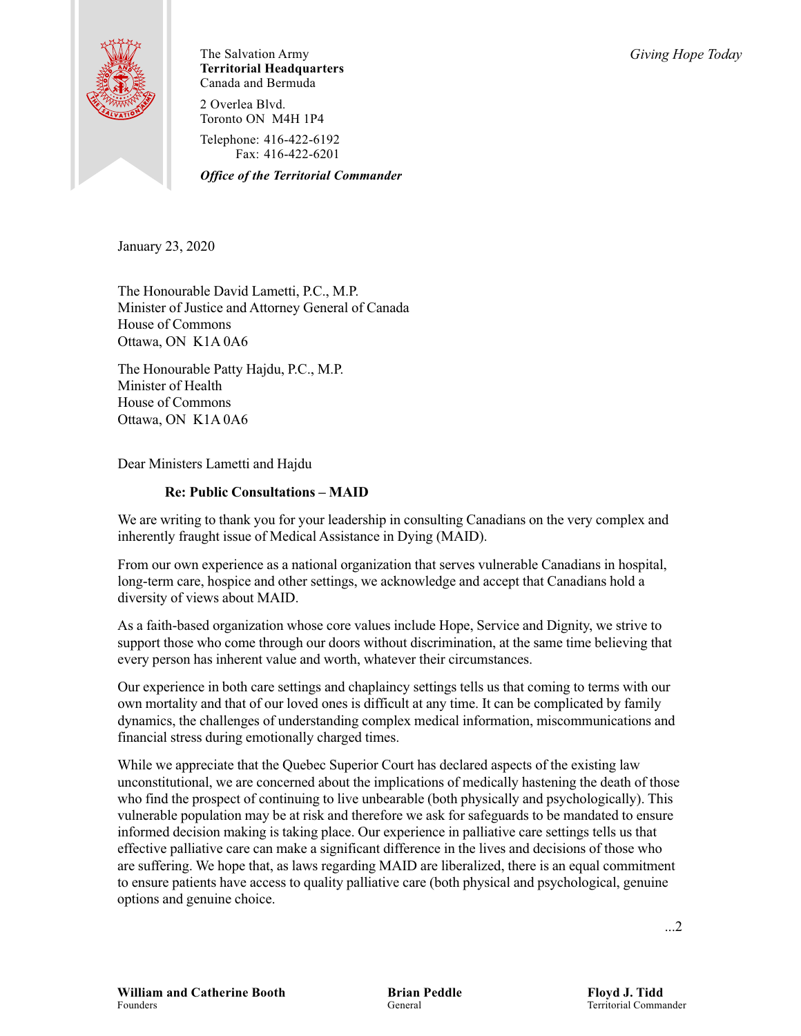

The Salvation Army *Giving Hope Today* **Territorial Headquarters** Canada and Bermuda

2 Overlea Blvd. Toronto ON M4H 1P4

Telephone: 416-422-6192 Fax: 416-422-6201

*Office of the Territorial Commander*

January 23, 2020

The Honourable David Lametti, P.C., M.P. Minister of Justice and Attorney General of Canada House of Commons Ottawa, ON K1A 0A6

The Honourable Patty Hajdu, P.C., M.P. Minister of Health House of Commons Ottawa, ON K1A 0A6

Dear Ministers Lametti and Hajdu

## **Re: Public Consultations – MAID**

We are writing to thank you for your leadership in consulting Canadians on the very complex and inherently fraught issue of Medical Assistance in Dying (MAID).

From our own experience as a national organization that serves vulnerable Canadians in hospital, long-term care, hospice and other settings, we acknowledge and accept that Canadians hold a diversity of views about MAID.

As a faith-based organization whose core values include Hope, Service and Dignity, we strive to support those who come through our doors without discrimination, at the same time believing that every person has inherent value and worth, whatever their circumstances.

Our experience in both care settings and chaplaincy settings tells us that coming to terms with our own mortality and that of our loved ones is difficult at any time. It can be complicated by family dynamics, the challenges of understanding complex medical information, miscommunications and financial stress during emotionally charged times.

While we appreciate that the Quebec Superior Court has declared aspects of the existing law unconstitutional, we are concerned about the implications of medically hastening the death of those who find the prospect of continuing to live unbearable (both physically and psychologically). This vulnerable population may be at risk and therefore we ask for safeguards to be mandated to ensure informed decision making is taking place. Our experience in palliative care settings tells us that effective palliative care can make a significant difference in the lives and decisions of those who are suffering. We hope that, as laws regarding MAID are liberalized, there is an equal commitment to ensure patients have access to quality palliative care (both physical and psychological, genuine options and genuine choice.